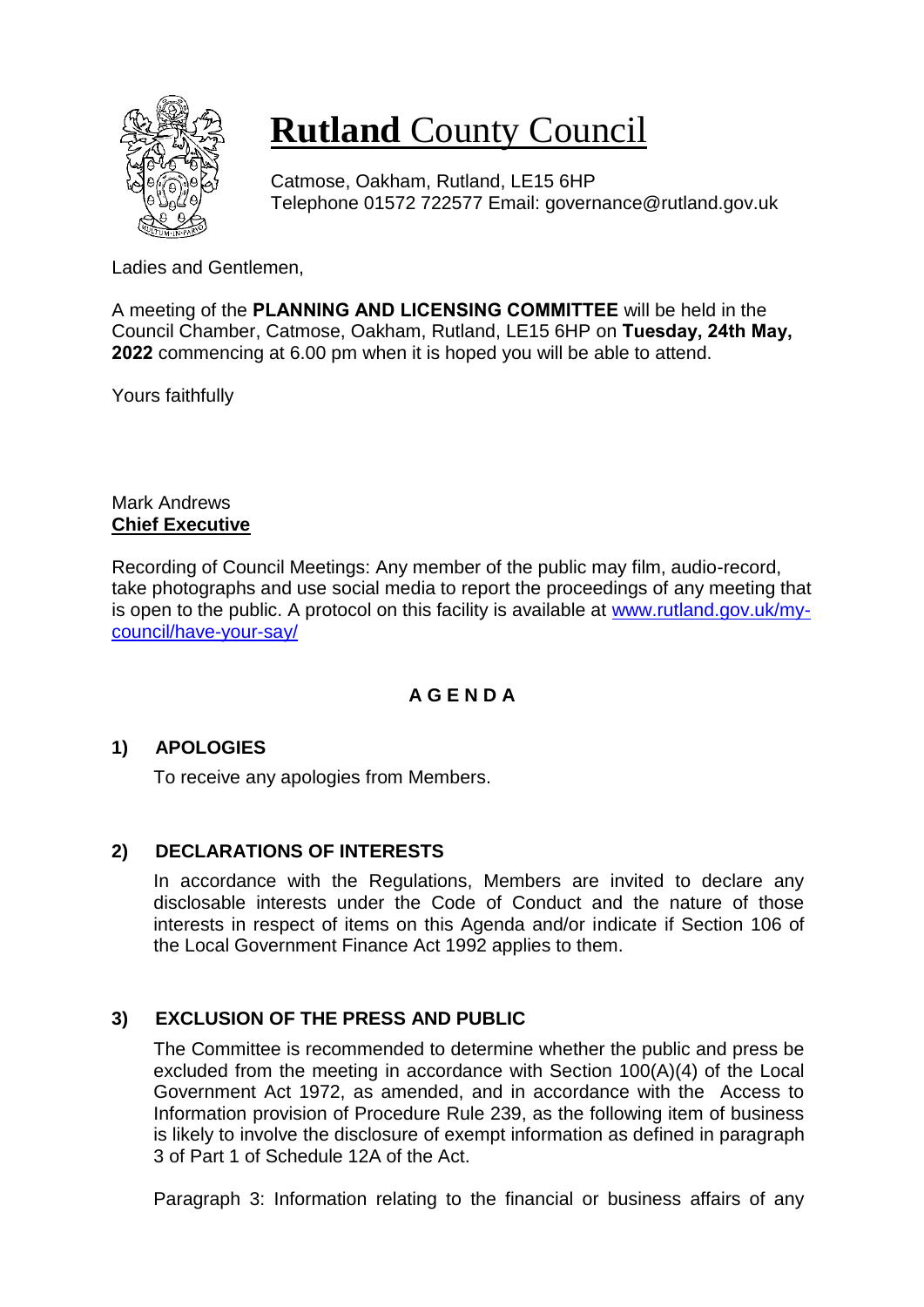

# **Rutland** County Council

Catmose, Oakham, Rutland, LE15 6HP Telephone 01572 722577 Email: governance@rutland.gov.uk

Ladies and Gentlemen,

A meeting of the **PLANNING AND LICENSING COMMITTEE** will be held in the Council Chamber, Catmose, Oakham, Rutland, LE15 6HP on **Tuesday, 24th May, 2022** commencing at 6.00 pm when it is hoped you will be able to attend.

Yours faithfully

Mark Andrews **Chief Executive**

Recording of Council Meetings: Any member of the public may film, audio-record, take photographs and use social media to report the proceedings of any meeting that is open to the public. A protocol on this facility is available at [www.rutland.gov.uk/my](http://www.rutland.gov.uk/my-council/have-your-say/)[council/have-your-say/](http://www.rutland.gov.uk/my-council/have-your-say/)

# **A G E N D A**

## **1) APOLOGIES**

To receive any apologies from Members.

## **2) DECLARATIONS OF INTERESTS**

In accordance with the Regulations, Members are invited to declare any disclosable interests under the Code of Conduct and the nature of those interests in respect of items on this Agenda and/or indicate if Section 106 of the Local Government Finance Act 1992 applies to them.

# **3) EXCLUSION OF THE PRESS AND PUBLIC**

The Committee is recommended to determine whether the public and press be excluded from the meeting in accordance with Section 100(A)(4) of the Local Government Act 1972, as amended, and in accordance with the Access to Information provision of Procedure Rule 239, as the following item of business is likely to involve the disclosure of exempt information as defined in paragraph 3 of Part 1 of Schedule 12A of the Act.

Paragraph 3: Information relating to the financial or business affairs of any